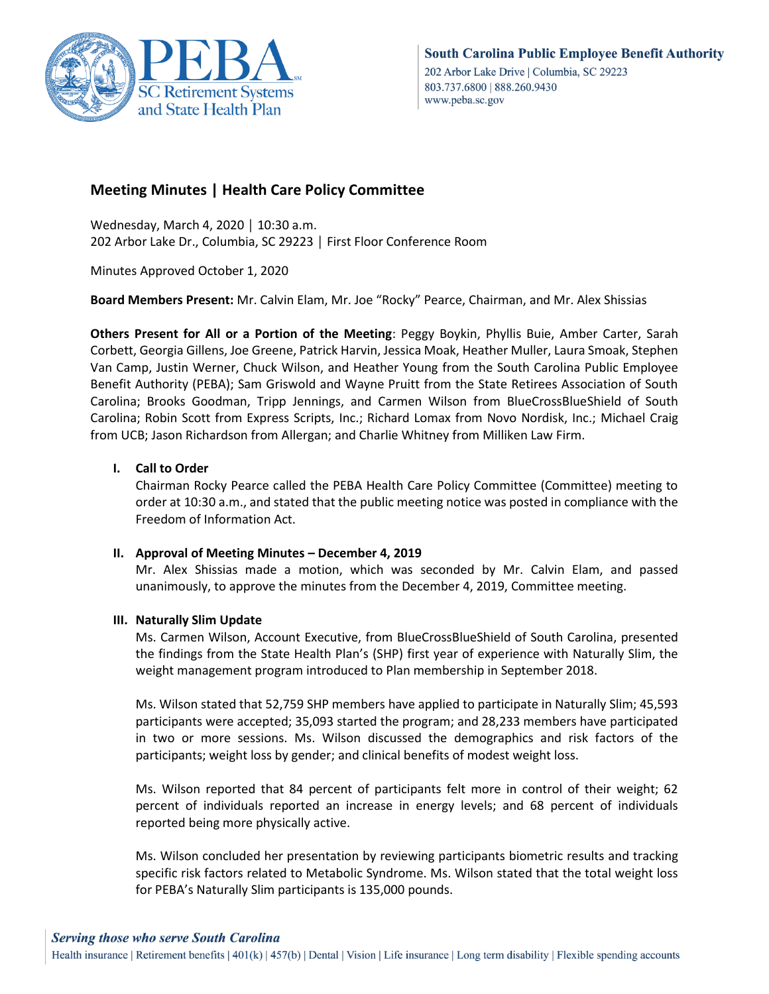

# **Meeting Minutes | Health Care Policy Committee**

Wednesday, March 4, 2020 │ 10:30 a.m. 202 Arbor Lake Dr., Columbia, SC 29223 │ First Floor Conference Room

Minutes Approved October 1, 2020

**Board Members Present:** Mr. Calvin Elam, Mr. Joe "Rocky" Pearce, Chairman, and Mr. Alex Shissias

**Others Present for All or a Portion of the Meeting**: Peggy Boykin, Phyllis Buie, Amber Carter, Sarah Corbett, Georgia Gillens, Joe Greene, Patrick Harvin, Jessica Moak, Heather Muller, Laura Smoak, Stephen Van Camp, Justin Werner, Chuck Wilson, and Heather Young from the South Carolina Public Employee Benefit Authority (PEBA); Sam Griswold and Wayne Pruitt from the State Retirees Association of South Carolina; Brooks Goodman, Tripp Jennings, and Carmen Wilson from BlueCrossBlueShield of South Carolina; Robin Scott from Express Scripts, Inc.; Richard Lomax from Novo Nordisk, Inc.; Michael Craig from UCB; Jason Richardson from Allergan; and Charlie Whitney from Milliken Law Firm.

## **I. Call to Order**

Chairman Rocky Pearce called the PEBA Health Care Policy Committee (Committee) meeting to order at 10:30 a.m., and stated that the public meeting notice was posted in compliance with the Freedom of Information Act.

### **II. Approval of Meeting Minutes – December 4, 2019**

Mr. Alex Shissias made a motion, which was seconded by Mr. Calvin Elam, and passed unanimously, to approve the minutes from the December 4, 2019, Committee meeting.

### **III. Naturally Slim Update**

Ms. Carmen Wilson, Account Executive, from BlueCrossBlueShield of South Carolina, presented the findings from the State Health Plan's (SHP) first year of experience with Naturally Slim, the weight management program introduced to Plan membership in September 2018.

Ms. Wilson stated that 52,759 SHP members have applied to participate in Naturally Slim; 45,593 participants were accepted; 35,093 started the program; and 28,233 members have participated in two or more sessions. Ms. Wilson discussed the demographics and risk factors of the participants; weight loss by gender; and clinical benefits of modest weight loss.

Ms. Wilson reported that 84 percent of participants felt more in control of their weight; 62 percent of individuals reported an increase in energy levels; and 68 percent of individuals reported being more physically active.

Ms. Wilson concluded her presentation by reviewing participants biometric results and tracking specific risk factors related to Metabolic Syndrome. Ms. Wilson stated that the total weight loss for PEBA's Naturally Slim participants is 135,000 pounds.